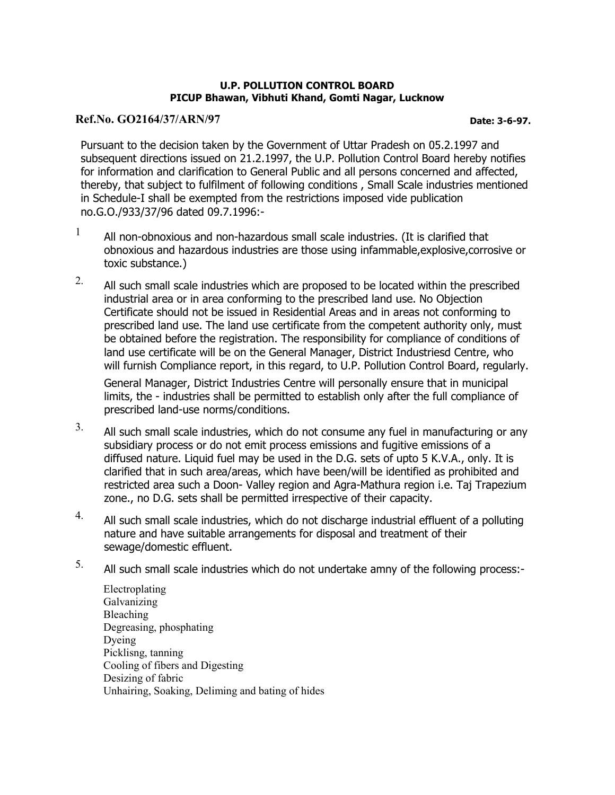### U.P. POLLUTION CONTROL BOARD PICUP Bhawan, Vibhuti Khand, Gomti Nagar, Lucknow

## Ref.No. GO2164/37/ARN/97 **Date: 3-6-97.**

Pursuant to the decision taken by the Government of Uttar Pradesh on 05.2.1997 and subsequent directions issued on 21.2.1997, the U.P. Pollution Control Board hereby notifies for information and clarification to General Public and all persons concerned and affected, thereby, that subject to fulfilment of following conditions , Small Scale industries mentioned in Schedule-I shall be exempted from the restrictions imposed vide publication no.G.O./933/37/96 dated 09.7.1996:-

- $1$  All non-obnoxious and non-hazardous small scale industries. (It is clarified that obnoxious and hazardous industries are those using infammable,explosive,corrosive or toxic substance.)
- $2.$  All such small scale industries which are proposed to be located within the prescribed industrial area or in area conforming to the prescribed land use. No Objection Certificate should not be issued in Residential Areas and in areas not conforming to prescribed land use. The land use certificate from the competent authority only, must be obtained before the registration. The responsibility for compliance of conditions of land use certificate will be on the General Manager, District Industriesd Centre, who will furnish Compliance report, in this regard, to U.P. Pollution Control Board, regularly.

General Manager, District Industries Centre will personally ensure that in municipal limits, the - industries shall be permitted to establish only after the full compliance of prescribed land-use norms/conditions.

- $3.$  All such small scale industries, which do not consume any fuel in manufacturing or any subsidiary process or do not emit process emissions and fugitive emissions of a diffused nature. Liquid fuel may be used in the D.G. sets of upto 5 K.V.A., only. It is clarified that in such area/areas, which have been/will be identified as prohibited and restricted area such a Doon- Valley region and Agra-Mathura region i.e. Taj Trapezium zone., no D.G. sets shall be permitted irrespective of their capacity.
- $4.$  All such small scale industries, which do not discharge industrial effluent of a polluting nature and have suitable arrangements for disposal and treatment of their sewage/domestic effluent.
- $5.$  All such small scale industries which do not undertake amny of the following process:-
	- Electroplating Galvanizing Bleaching Degreasing, phosphating Dyeing Picklisng, tanning Cooling of fibers and Digesting Desizing of fabric Unhairing, Soaking, Deliming and bating of hides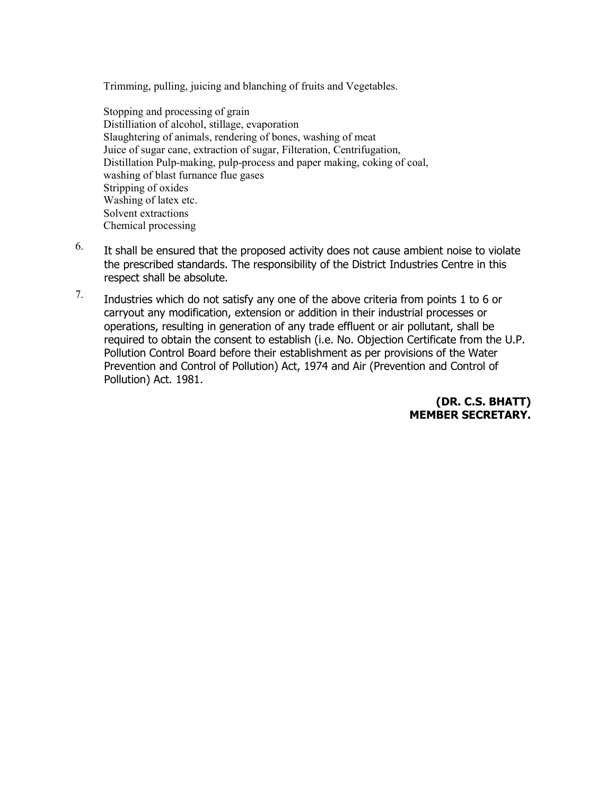Trimming, pulling, juicing and blanching of fruits and Vegetables.

Stopping and processing of grain Distilliation of alcohol, stillage, evaporation Slaughtering of animals, rendering of bones, washing of meat Juice of sugar cane, extraction of sugar, Filteration, Centrifugation, Distillation Pulp-making, pulp-process and paper making, coking of coal, washing of blast furnance flue gases Stripping of oxides Washing of latex etc. Solvent extractions Chemical processing

- $6.$  It shall be ensured that the proposed activity does not cause ambient noise to violate the prescribed standards. The responsibility of the District Industries Centre in this respect shall be absolute.
- 7. Industries which do not satisfy any one of the above criteria from points 1 to 6 or carryout any modification, extension or addition in their industrial processes or operations, resulting in generation of any trade effluent or air pollutant, shall be required to obtain the consent to establish (i.e. No. Objection Certificate from the U.P. Pollution Control Board before their establishment as per provisions of the Water Prevention and Control of Pollution) Act, 1974 and Air (Prevention and Control of Pollution) Act. 1981.

## (DR. C.S. BHATT) MEMBER SECRETARY.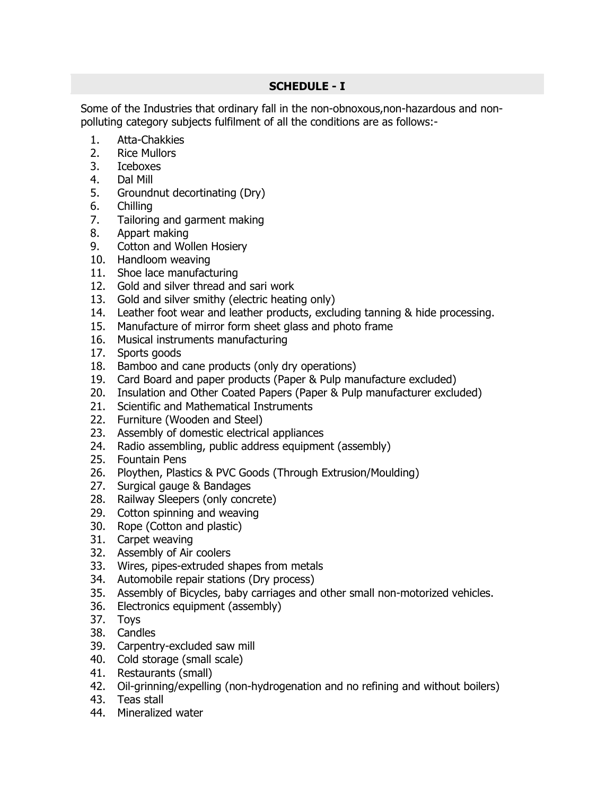# SCHEDULE - I

Some of the Industries that ordinary fall in the non-obnoxous,non-hazardous and nonpolluting category subjects fulfilment of all the conditions are as follows:-

- 1. Atta-Chakkies
- 2. Rice Mullors
- 3. Iceboxes
- 4. Dal Mill
- 5. Groundnut decortinating (Dry)
- 6. Chilling
- 7. Tailoring and garment making
- 8. Appart making
- 9. Cotton and Wollen Hosiery
- 10. Handloom weaving
- 11. Shoe lace manufacturing
- 12. Gold and silver thread and sari work
- 13. Gold and silver smithy (electric heating only)
- 14. Leather foot wear and leather products, excluding tanning & hide processing.
- 15. Manufacture of mirror form sheet glass and photo frame
- 16. Musical instruments manufacturing
- 17. Sports goods
- 18. Bamboo and cane products (only dry operations)
- 19. Card Board and paper products (Paper & Pulp manufacture excluded)
- 20. Insulation and Other Coated Papers (Paper & Pulp manufacturer excluded)
- 21. Scientific and Mathematical Instruments
- 22. Furniture (Wooden and Steel)
- 23. Assembly of domestic electrical appliances
- 24. Radio assembling, public address equipment (assembly)
- 25. Fountain Pens
- 26. Ploythen, Plastics & PVC Goods (Through Extrusion/Moulding)
- 27. Surgical gauge & Bandages
- 28. Railway Sleepers (only concrete)
- 29. Cotton spinning and weaving
- 30. Rope (Cotton and plastic)
- 31. Carpet weaving
- 32. Assembly of Air coolers
- 33. Wires, pipes-extruded shapes from metals
- 34. Automobile repair stations (Dry process)
- 35. Assembly of Bicycles, baby carriages and other small non-motorized vehicles.
- 36. Electronics equipment (assembly)
- 37. Toys
- 38. Candles
- 39. Carpentry-excluded saw mill
- 40. Cold storage (small scale)
- 41. Restaurants (small)
- 42. Oil-grinning/expelling (non-hydrogenation and no refining and without boilers)
- 43. Teas stall
- 44. Mineralized water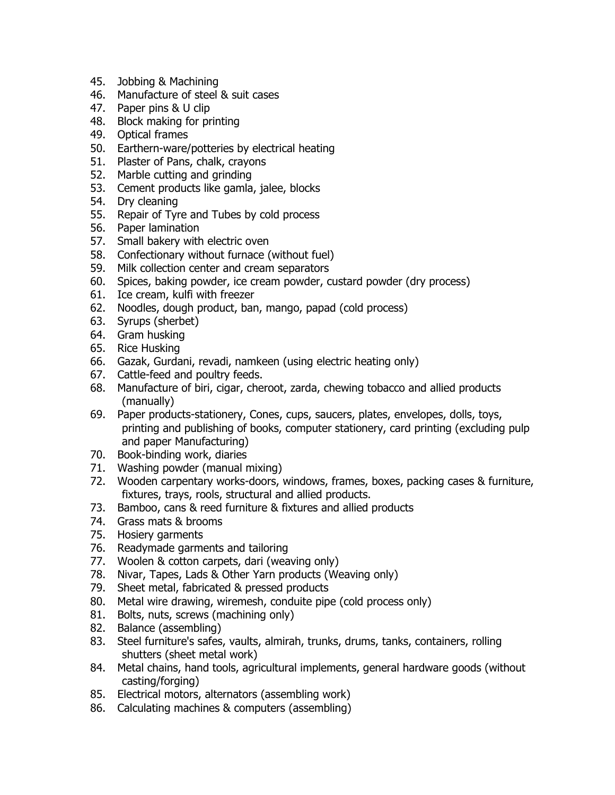- 45. Jobbing & Machining
- 46. Manufacture of steel & suit cases
- 47. Paper pins & U clip
- 48. Block making for printing
- 49. Optical frames
- 50. Earthern-ware/potteries by electrical heating
- 51. Plaster of Pans, chalk, crayons
- 52. Marble cutting and grinding
- 53. Cement products like gamla, jalee, blocks
- 54. Dry cleaning
- 55. Repair of Tyre and Tubes by cold process
- 56. Paper lamination
- 57. Small bakery with electric oven
- 58. Confectionary without furnace (without fuel)
- 59. Milk collection center and cream separators
- 60. Spices, baking powder, ice cream powder, custard powder (dry process)
- 61. Ice cream, kulfi with freezer
- 62. Noodles, dough product, ban, mango, papad (cold process)
- 63. Syrups (sherbet)
- 64. Gram husking
- 65. Rice Husking
- 66. Gazak, Gurdani, revadi, namkeen (using electric heating only)
- 67. Cattle-feed and poultry feeds.
- 68. Manufacture of biri, cigar, cheroot, zarda, chewing tobacco and allied products (manually)
- 69. Paper products-stationery, Cones, cups, saucers, plates, envelopes, dolls, toys, printing and publishing of books, computer stationery, card printing (excluding pulp and paper Manufacturing)
- 70. Book-binding work, diaries
- 71. Washing powder (manual mixing)
- 72. Wooden carpentary works-doors, windows, frames, boxes, packing cases & furniture, fixtures, trays, rools, structural and allied products.
- 73. Bamboo, cans & reed furniture & fixtures and allied products
- 74. Grass mats & brooms
- 75. Hosiery garments
- 76. Readymade garments and tailoring
- 77. Woolen & cotton carpets, dari (weaving only)
- 78. Nivar, Tapes, Lads & Other Yarn products (Weaving only)
- 79. Sheet metal, fabricated & pressed products
- 80. Metal wire drawing, wiremesh, conduite pipe (cold process only)
- 81. Bolts, nuts, screws (machining only)
- 82. Balance (assembling)
- 83. Steel furniture's safes, vaults, almirah, trunks, drums, tanks, containers, rolling shutters (sheet metal work)
- 84. Metal chains, hand tools, agricultural implements, general hardware goods (without casting/forging)
- 85. Electrical motors, alternators (assembling work)
- 86. Calculating machines & computers (assembling)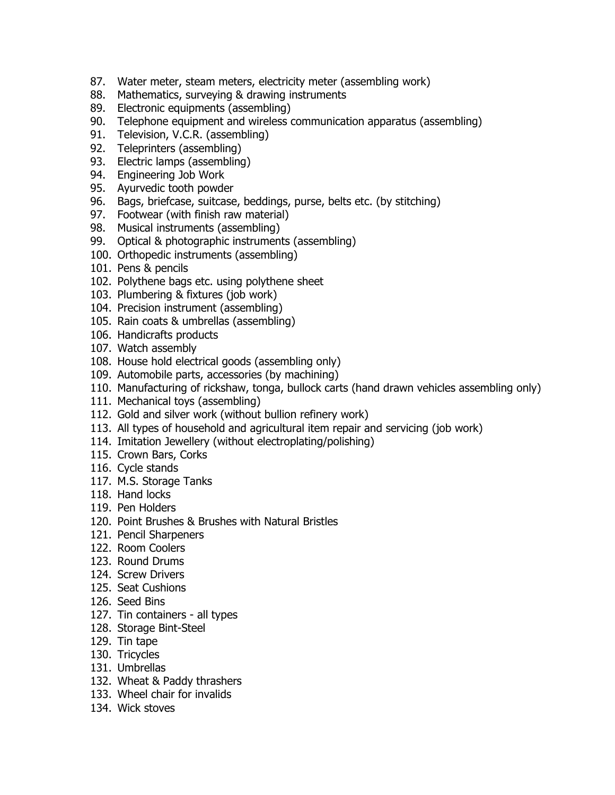- 87. Water meter, steam meters, electricity meter (assembling work)
- 88. Mathematics, surveying & drawing instruments
- 89. Electronic equipments (assembling)
- 90. Telephone equipment and wireless communication apparatus (assembling)
- 91. Television, V.C.R. (assembling)
- 92. Teleprinters (assembling)
- 93. Electric lamps (assembling)
- 94. Engineering Job Work
- 95. Ayurvedic tooth powder
- 96. Bags, briefcase, suitcase, beddings, purse, belts etc. (by stitching)
- 97. Footwear (with finish raw material)
- 98. Musical instruments (assembling)
- 99. Optical & photographic instruments (assembling)
- 100. Orthopedic instruments (assembling)
- 101. Pens & pencils
- 102. Polythene bags etc. using polythene sheet
- 103. Plumbering & fixtures (job work)
- 104. Precision instrument (assembling)
- 105. Rain coats & umbrellas (assembling)
- 106. Handicrafts products
- 107. Watch assembly
- 108. House hold electrical goods (assembling only)
- 109. Automobile parts, accessories (by machining)
- 110. Manufacturing of rickshaw, tonga, bullock carts (hand drawn vehicles assembling only)
- 111. Mechanical toys (assembling)
- 112. Gold and silver work (without bullion refinery work)
- 113. All types of household and agricultural item repair and servicing (job work)
- 114. Imitation Jewellery (without electroplating/polishing)
- 115. Crown Bars, Corks
- 116. Cycle stands
- 117. M.S. Storage Tanks
- 118. Hand locks
- 119. Pen Holders
- 120. Point Brushes & Brushes with Natural Bristles
- 121. Pencil Sharpeners
- 122. Room Coolers
- 123. Round Drums
- 124. Screw Drivers
- 125. Seat Cushions
- 126. Seed Bins
- 127. Tin containers all types
- 128. Storage Bint-Steel
- 129. Tin tape
- 130. Tricycles
- 131. Umbrellas
- 132. Wheat & Paddy thrashers
- 133. Wheel chair for invalids
- 134. Wick stoves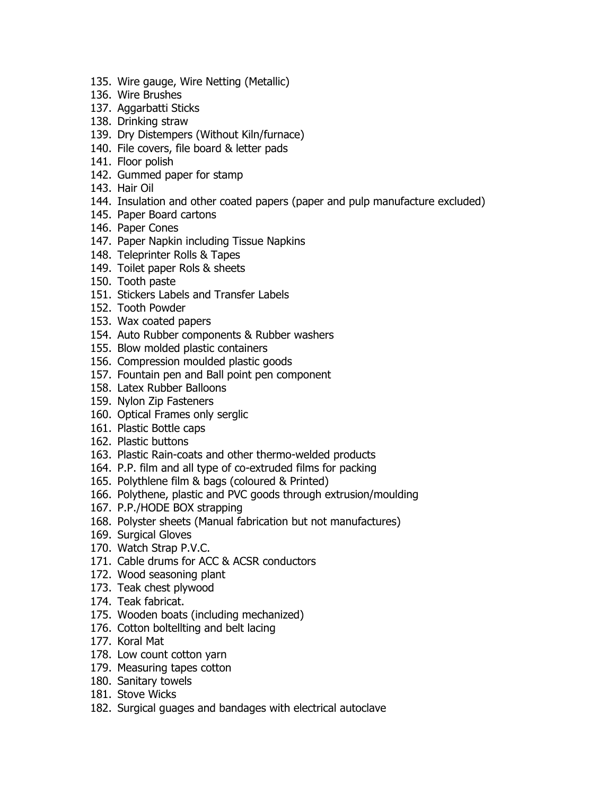- 135. Wire gauge, Wire Netting (Metallic)
- 136. Wire Brushes
- 137. Aggarbatti Sticks
- 138. Drinking straw
- 139. Dry Distempers (Without Kiln/furnace)
- 140. File covers, file board & letter pads
- 141. Floor polish
- 142. Gummed paper for stamp
- 143. Hair Oil
- 144. Insulation and other coated papers (paper and pulp manufacture excluded)
- 145. Paper Board cartons
- 146. Paper Cones
- 147. Paper Napkin including Tissue Napkins
- 148. Teleprinter Rolls & Tapes
- 149. Toilet paper Rols & sheets
- 150. Tooth paste
- 151. Stickers Labels and Transfer Labels
- 152. Tooth Powder
- 153. Wax coated papers
- 154. Auto Rubber components & Rubber washers
- 155. Blow molded plastic containers
- 156. Compression moulded plastic goods
- 157. Fountain pen and Ball point pen component
- 158. Latex Rubber Balloons
- 159. Nylon Zip Fasteners
- 160. Optical Frames only serglic
- 161. Plastic Bottle caps
- 162. Plastic buttons
- 163. Plastic Rain-coats and other thermo-welded products
- 164. P.P. film and all type of co-extruded films for packing
- 165. Polythlene film & bags (coloured & Printed)
- 166. Polythene, plastic and PVC goods through extrusion/moulding
- 167. P.P./HODE BOX strapping
- 168. Polyster sheets (Manual fabrication but not manufactures)
- 169. Surgical Gloves
- 170. Watch Strap P.V.C.
- 171. Cable drums for ACC & ACSR conductors
- 172. Wood seasoning plant
- 173. Teak chest plywood
- 174. Teak fabricat.
- 175. Wooden boats (including mechanized)
- 176. Cotton boltellting and belt lacing
- 177. Koral Mat
- 178. Low count cotton yarn
- 179. Measuring tapes cotton
- 180. Sanitary towels
- 181. Stove Wicks
- 182. Surgical guages and bandages with electrical autoclave